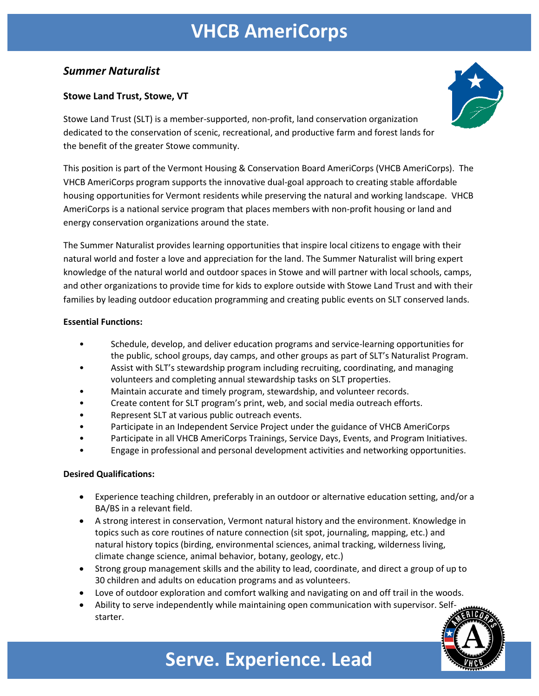# **VHCB AmeriCorps**

### *Summer Naturalist*

### **Stowe Land Trust, Stowe, VT**

Stowe Land Trust (SLT) is a member-supported, non-profit, land conservation organization dedicated to the conservation of scenic, recreational, and productive farm and forest lands for the benefit of the greater Stowe community.

This position is part of the Vermont Housing & Conservation Board AmeriCorps (VHCB AmeriCorps). The VHCB AmeriCorps program supports the innovative dual-goal approach to creating stable affordable housing opportunities for Vermont residents while preserving the natural and working landscape. VHCB AmeriCorps is a national service program that places members with non-profit housing or land and energy conservation organizations around the state.

The Summer Naturalist provides learning opportunities that inspire local citizens to engage with their natural world and foster a love and appreciation for the land. The Summer Naturalist will bring expert knowledge of the natural world and outdoor spaces in Stowe and will partner with local schools, camps, and other organizations to provide time for kids to explore outside with Stowe Land Trust and with their families by leading outdoor education programming and creating public events on SLT conserved lands.

#### **Essential Functions:**

- Schedule, develop, and deliver education programs and service-learning opportunities for the public, school groups, day camps, and other groups as part of SLT's Naturalist Program.
- Assist with SLT's stewardship program including recruiting, coordinating, and managing volunteers and completing annual stewardship tasks on SLT properties.
- Maintain accurate and timely program, stewardship, and volunteer records.
- Create content for SLT program's print, web, and social media outreach efforts.
- Represent SLT at various public outreach events.
- Participate in an Independent Service Project under the guidance of VHCB AmeriCorps
- Participate in all VHCB AmeriCorps Trainings, Service Days, Events, and Program Initiatives.
- Engage in professional and personal development activities and networking opportunities.

#### **Desired Qualifications:**

- Experience teaching children, preferably in an outdoor or alternative education setting, and/or a BA/BS in a relevant field.
- A strong interest in conservation, Vermont natural history and the environment. Knowledge in topics such as core routines of nature connection (sit spot, journaling, mapping, etc.) and natural history topics (birding, environmental sciences, animal tracking, wilderness living, climate change science, animal behavior, botany, geology, etc.)
- Strong group management skills and the ability to lead, coordinate, and direct a group of up to 30 children and adults on education programs and as volunteers.
- Love of outdoor exploration and comfort walking and navigating on and off trail in the woods.
- Ability to serve independently while maintaining open communication with supervisor. Selfstarter.





## **Serve. Experience. Lead**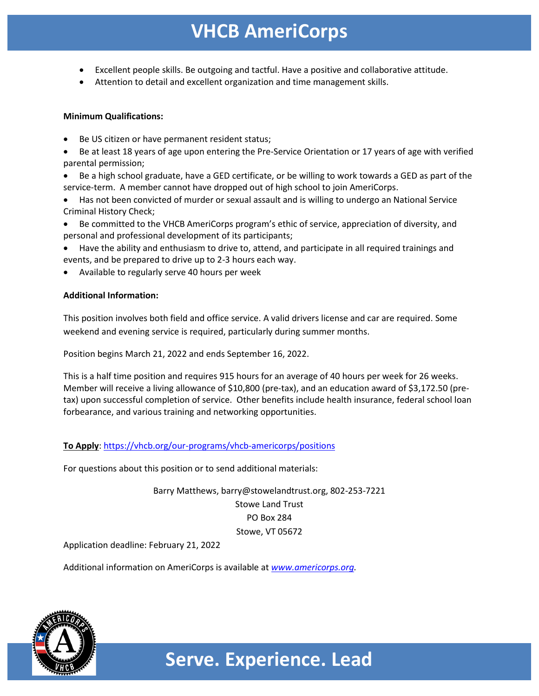### **VHCB AmeriCorps**

- Excellent people skills. Be outgoing and tactful. Have a positive and collaborative attitude.
- Attention to detail and excellent organization and time management skills.

#### **Minimum Qualifications:**

- Be US citizen or have permanent resident status;
- Be at least 18 years of age upon entering the Pre-Service Orientation or 17 years of age with verified parental permission;
- Be a high school graduate, have a GED certificate, or be willing to work towards a GED as part of the service-term. A member cannot have dropped out of high school to join AmeriCorps.
- Has not been convicted of murder or sexual assault and is willing to undergo an National Service Criminal History Check;
- Be committed to the VHCB AmeriCorps program's ethic of service, appreciation of diversity, and personal and professional development of its participants;
- Have the ability and enthusiasm to drive to, attend, and participate in all required trainings and events, and be prepared to drive up to 2-3 hours each way.
- Available to regularly serve 40 hours per week

#### **Additional Information:**

This position involves both field and office service. A valid drivers license and car are required. Some weekend and evening service is required, particularly during summer months.

Position begins March 21, 2022 and ends September 16, 2022.

This is a half time position and requires 915 hours for an average of 40 hours per week for 26 weeks. Member will receive a living allowance of \$10,800 (pre-tax), and an education award of \$3,172.50 (pretax) upon successful completion of service. Other benefits include health insurance, federal school loan forbearance, and various training and networking opportunities.

**To Apply**: https://vhcb.org/our-programs/vhcb-americorps/positions

For questions about this position or to send additional materials:

Barry Matthews, barry@stowelandtrust.org, 802-253-7221 Stowe Land Trust PO Box 284 Stowe, VT 05672

Application deadline: February 21, 2022

Additional information on AmeriCorps is available at *www.americorps.org.*



**Serve. Experience. Lead**